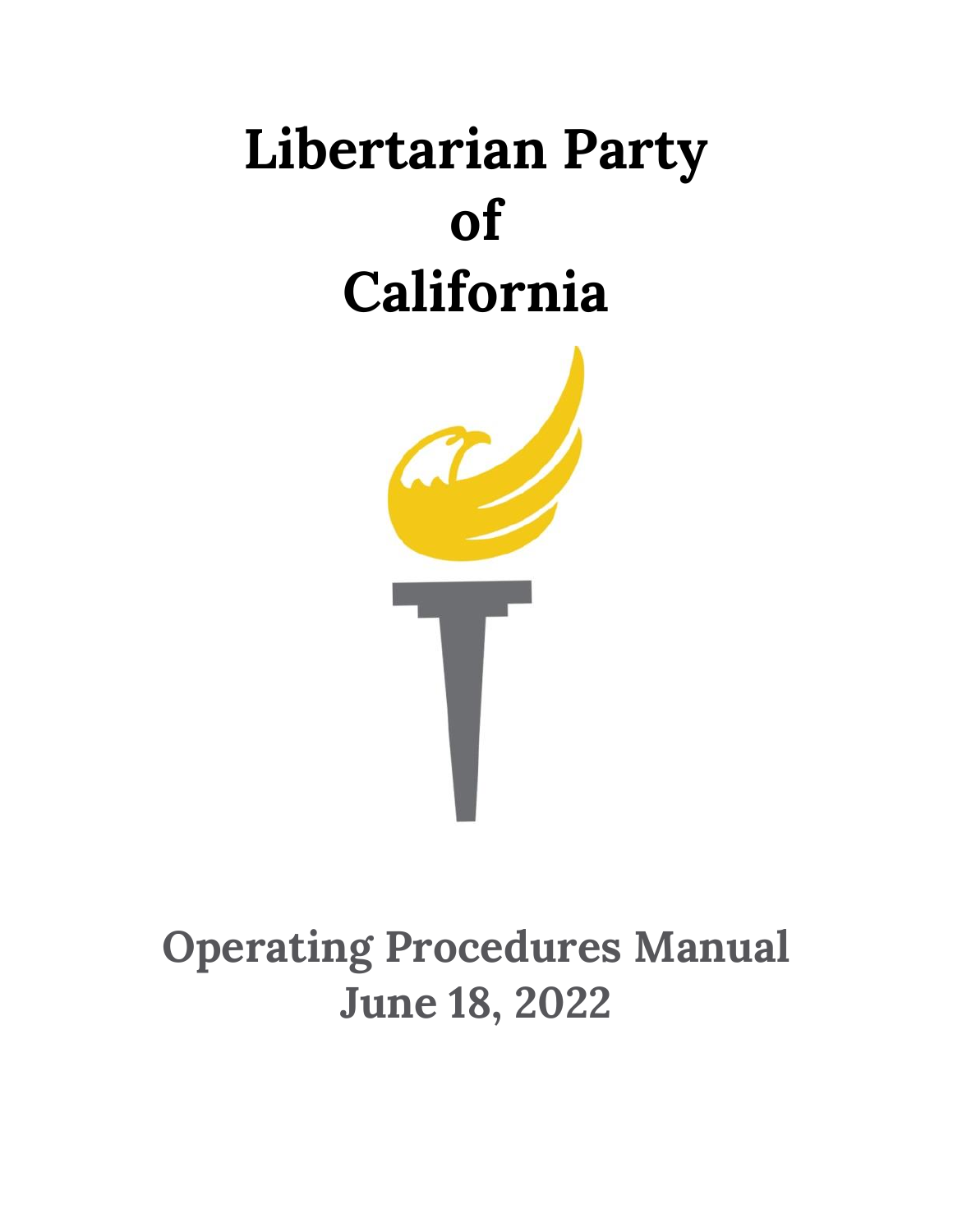# **Libertarian Party of California**



# **Operating Procedures Manual June 18, 2022**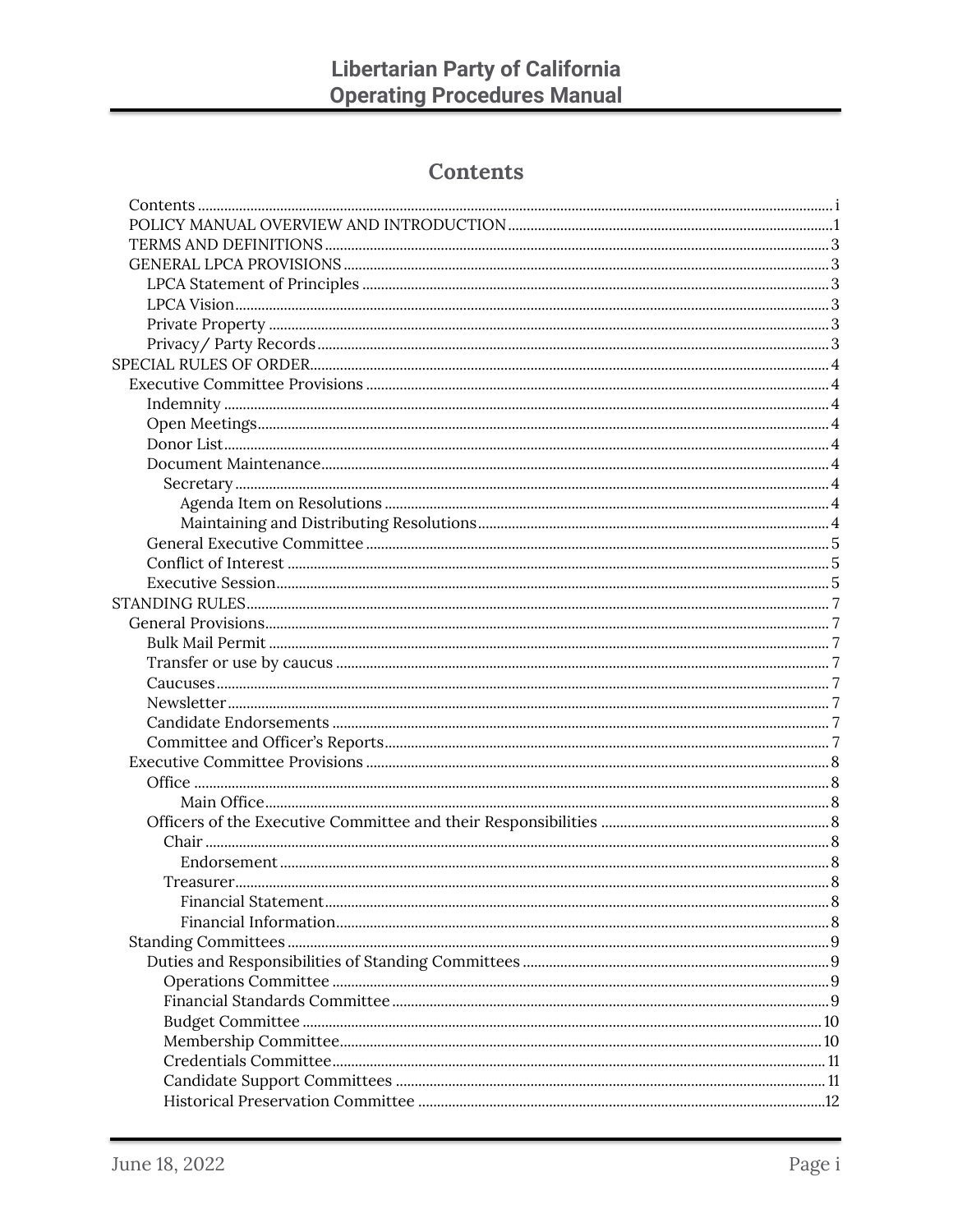# **Contents**

<span id="page-1-0"></span>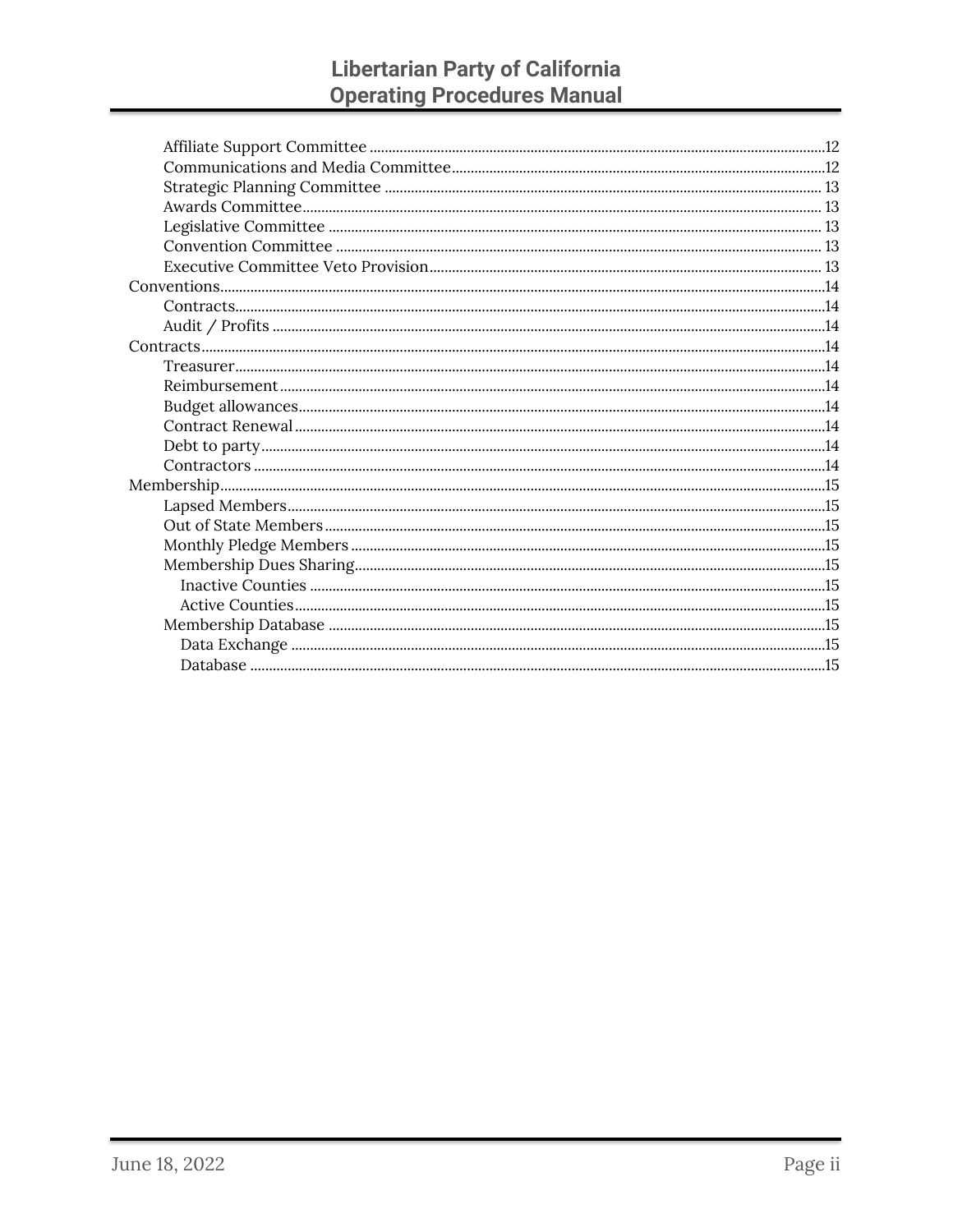# **Libertarian Party of California<br>Operating Procedures Manual**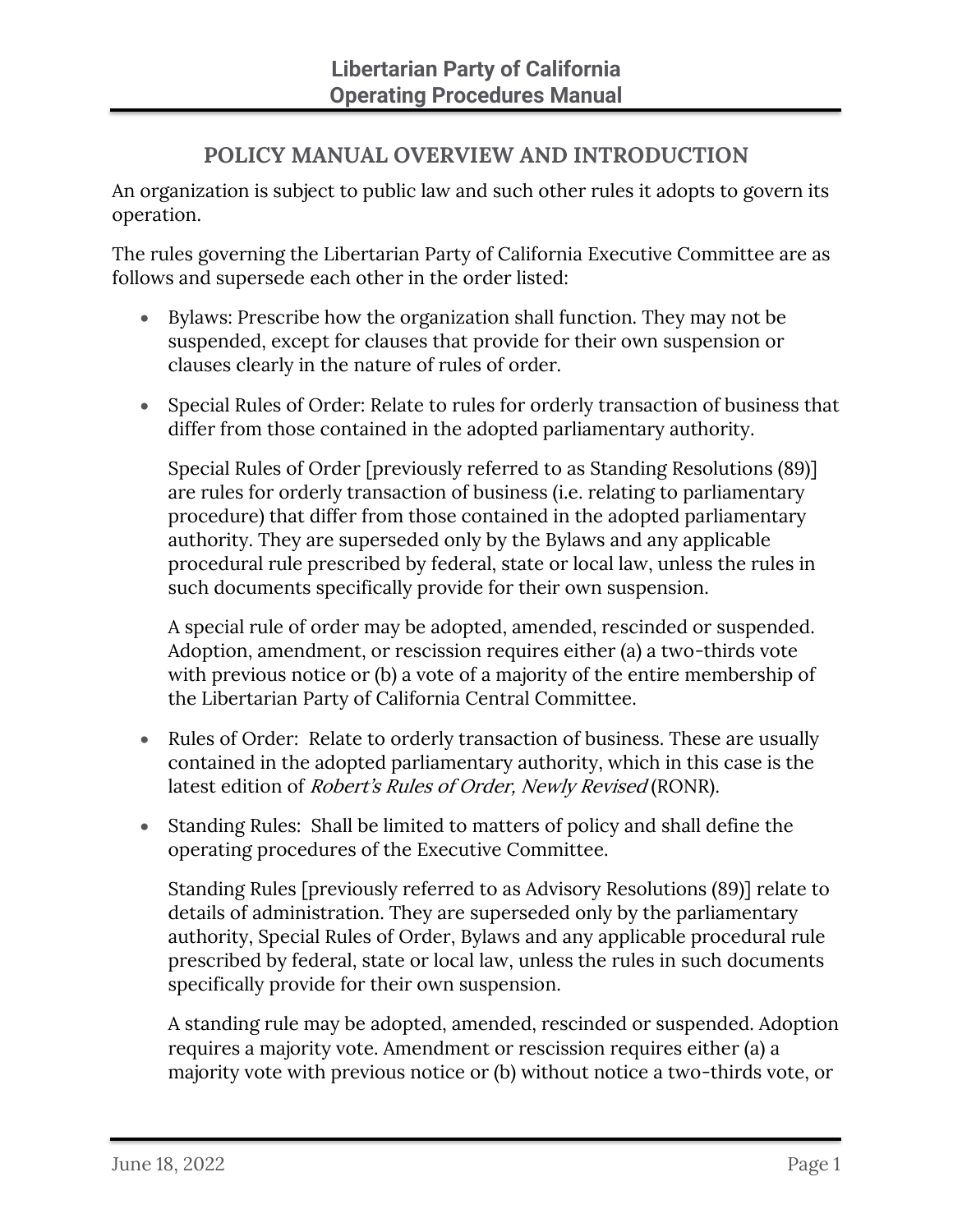# **POLICY MANUAL OVERVIEW AND INTRODUCTION**

<span id="page-3-0"></span>An organization is subject to public law and such other rules it adopts to govern its operation.

The rules governing the Libertarian Party of California Executive Committee are as follows and supersede each other in the order listed:

- Bylaws: Prescribe how the organization shall function. They may not be suspended, except for clauses that provide for their own suspension or clauses clearly in the nature of rules of order.
- Special Rules of Order: Relate to rules for orderly transaction of business that differ from those contained in the adopted parliamentary authority.

Special Rules of Order [previously referred to as Standing Resolutions (89)] are rules for orderly transaction of business (i.e. relating to parliamentary procedure) that differ from those contained in the adopted parliamentary authority. They are superseded only by the Bylaws and any applicable procedural rule prescribed by federal, state or local law, unless the rules in such documents specifically provide for their own suspension.

A special rule of order may be adopted, amended, rescinded or suspended. Adoption, amendment, or rescission requires either (a) a two-thirds vote with previous notice or (b) a vote of a majority of the entire membership of the Libertarian Party of California Central Committee.

- Rules of Order: Relate to orderly transaction of business. These are usually contained in the adopted parliamentary authority, which in this case is the latest edition of *Robert's Rules of Order, Newly Revised* (RONR).
- Standing Rules: Shall be limited to matters of policy and shall define the operating procedures of the Executive Committee.

Standing Rules [previously referred to as Advisory Resolutions (89)] relate to details of administration. They are superseded only by the parliamentary authority, Special Rules of Order, Bylaws and any applicable procedural rule prescribed by federal, state or local law, unless the rules in such documents specifically provide for their own suspension.

A standing rule may be adopted, amended, rescinded or suspended. Adoption requires a majority vote. Amendment or rescission requires either (a) a majority vote with previous notice or (b) without notice a two-thirds vote, or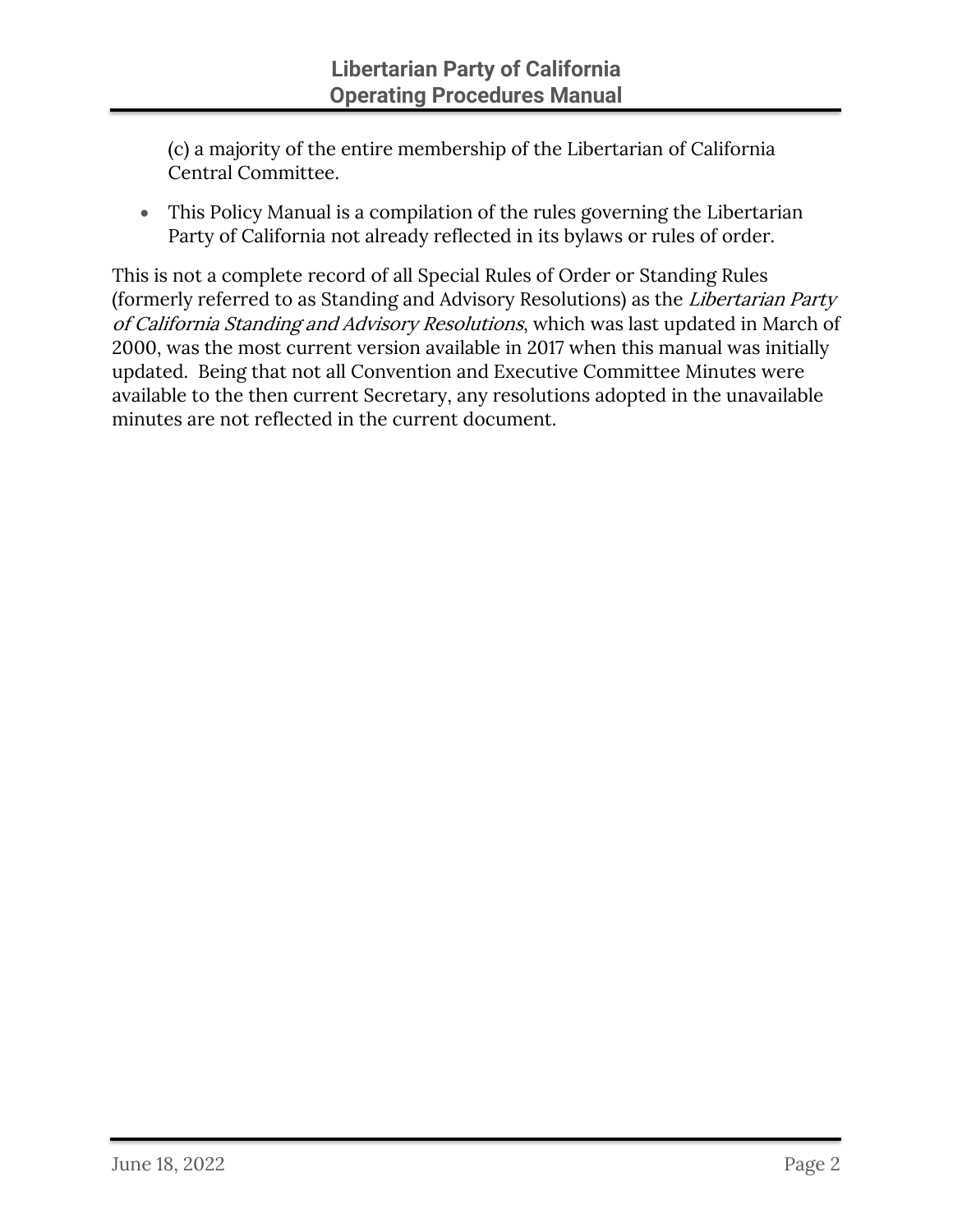(c) a majority of the entire membership of the Libertarian of California Central Committee.

• This Policy Manual is a compilation of the rules governing the Libertarian Party of California not already reflected in its bylaws or rules of order.

This is not a complete record of all Special Rules of Order or Standing Rules (formerly referred to as Standing and Advisory Resolutions) as the Libertarian Party of California Standing and Advisory Resolutions, which was last updated in March of 2000, was the most current version available in 2017 when this manual was initially updated. Being that not all Convention and Executive Committee Minutes were available to the then current Secretary, any resolutions adopted in the unavailable minutes are not reflected in the current document.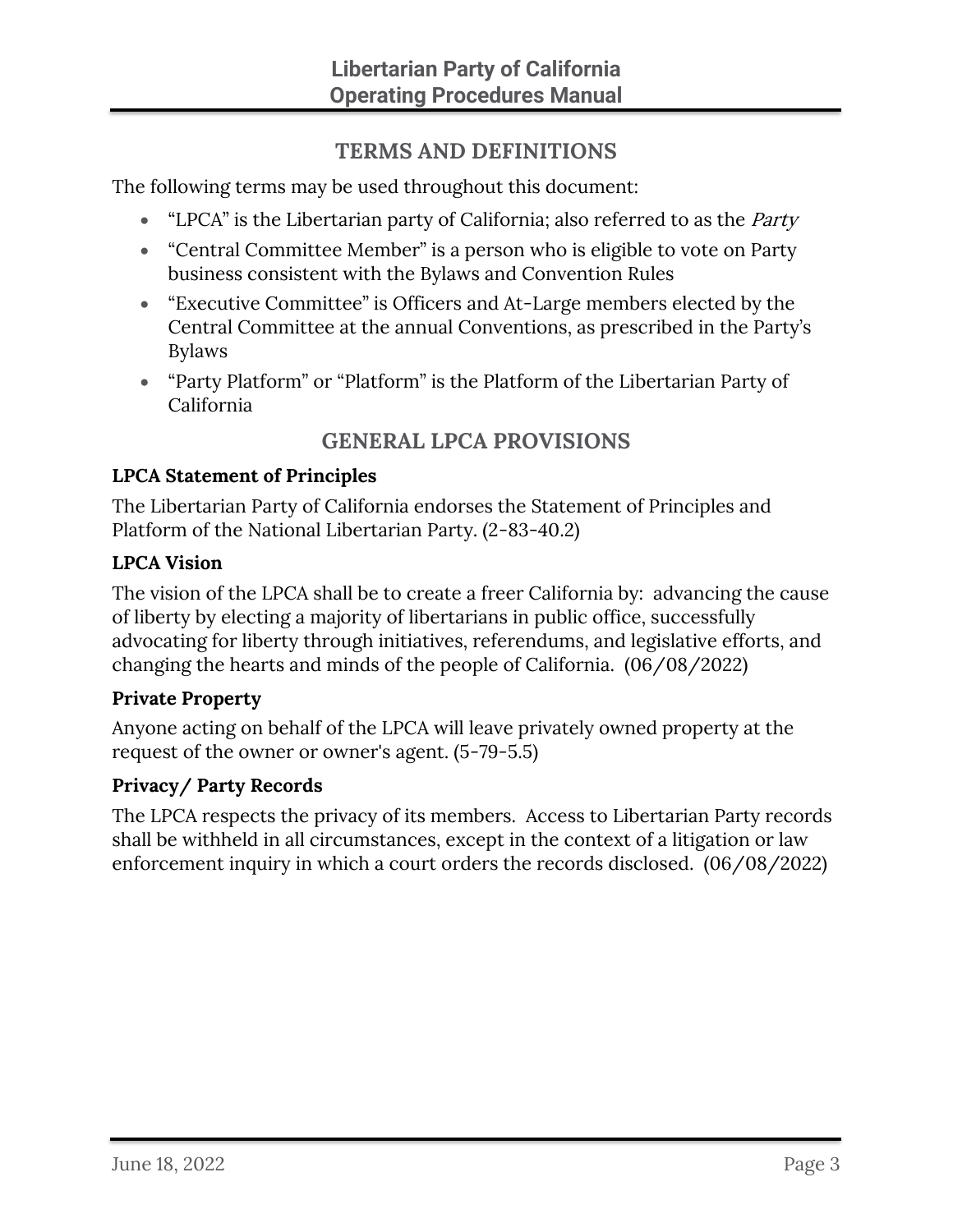# **TERMS AND DEFINITIONS**

<span id="page-5-0"></span>The following terms may be used throughout this document:

- "LPCA" is the Libertarian party of California; also referred to as the *Party*
- "Central Committee Member" is a person who is eligible to vote on Party business consistent with the Bylaws and Convention Rules
- "Executive Committee" is Officers and At-Large members elected by the Central Committee at the annual Conventions, as prescribed in the Party's Bylaws
- "Party Platform" or "Platform" is the Platform of the Libertarian Party of California

# **GENERAL LPCA PROVISIONS**

## <span id="page-5-2"></span><span id="page-5-1"></span>**LPCA Statement of Principles**

The Libertarian Party of California endorses the Statement of Principles and Platform of the National Libertarian Party. (2-83-40.2)

## <span id="page-5-3"></span>**LPCA Vision**

The vision of the LPCA shall be to create a freer California by: advancing the cause of liberty by electing a majority of libertarians in public office, successfully advocating for liberty through initiatives, referendums, and legislative efforts, and changing the hearts and minds of the people of California. (06/08/2022)

#### <span id="page-5-4"></span>**Private Property**

Anyone acting on behalf of the LPCA will leave privately owned property at the request of the owner or owner's agent. (5-79-5.5)

# <span id="page-5-5"></span>**Privacy/ Party Records**

The LPCA respects the privacy of its members. Access to Libertarian Party records shall be withheld in all circumstances, except in the context of a litigation or law enforcement inquiry in which a court orders the records disclosed. (06/08/2022)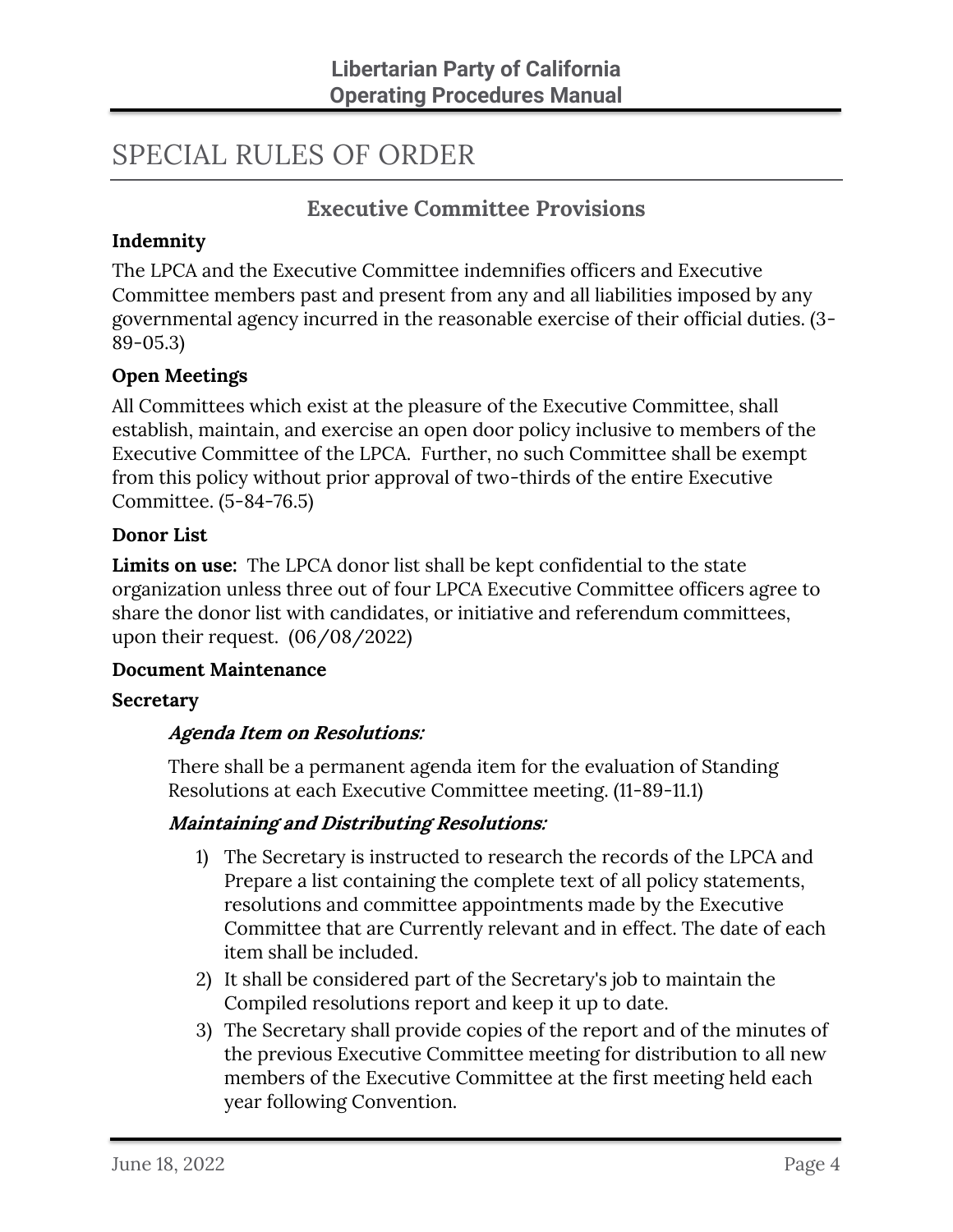# <span id="page-6-0"></span>SPECIAL RULES OF ORDER

# **Executive Committee Provisions**

#### <span id="page-6-2"></span><span id="page-6-1"></span>**Indemnity**

The LPCA and the Executive Committee indemnifies officers and Executive Committee members past and present from any and all liabilities imposed by any governmental agency incurred in the reasonable exercise of their official duties. (3- 89-05.3)

#### <span id="page-6-3"></span>**Open Meetings**

All Committees which exist at the pleasure of the Executive Committee, shall establish, maintain, and exercise an open door policy inclusive to members of the Executive Committee of the LPCA. Further, no such Committee shall be exempt from this policy without prior approval of two-thirds of the entire Executive Committee. (5-84-76.5)

#### <span id="page-6-4"></span>**Donor List**

**Limits on use:** The LPCA donor list shall be kept confidential to the state organization unless three out of four LPCA Executive Committee officers agree to share the donor list with candidates, or initiative and referendum committees, upon their request. (06/08/2022)

#### <span id="page-6-5"></span>**Document Maintenance**

#### <span id="page-6-7"></span><span id="page-6-6"></span>**Secretary**

#### **Agenda Item on Resolutions:**

There shall be a permanent agenda item for the evaluation of Standing Resolutions at each Executive Committee meeting. (11-89-11.1)

#### <span id="page-6-8"></span>**Maintaining and Distributing Resolutions:**

- 1) The Secretary is instructed to research the records of the LPCA and Prepare a list containing the complete text of all policy statements, resolutions and committee appointments made by the Executive Committee that are Currently relevant and in effect. The date of each item shall be included.
- 2) It shall be considered part of the Secretary's job to maintain the Compiled resolutions report and keep it up to date.
- 3) The Secretary shall provide copies of the report and of the minutes of the previous Executive Committee meeting for distribution to all new members of the Executive Committee at the first meeting held each year following Convention.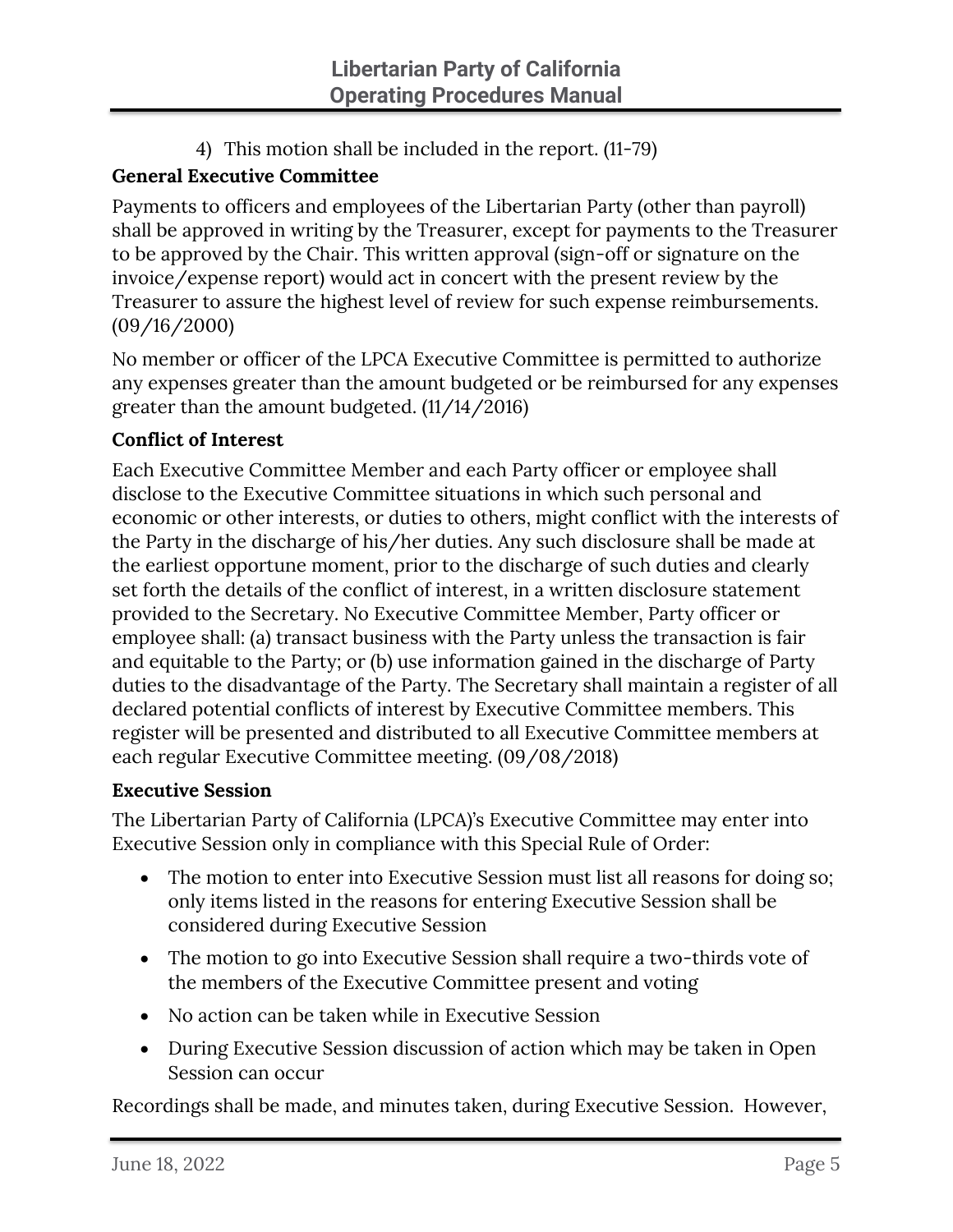4) This motion shall be included in the report. (11-79)

# <span id="page-7-0"></span>**General Executive Committee**

Payments to officers and employees of the Libertarian Party (other than payroll) shall be approved in writing by the Treasurer, except for payments to the Treasurer to be approved by the Chair. This written approval (sign-off or signature on the invoice/expense report) would act in concert with the present review by the Treasurer to assure the highest level of review for such expense reimbursements. (09/16/2000)

No member or officer of the LPCA Executive Committee is permitted to authorize any expenses greater than the amount budgeted or be reimbursed for any expenses greater than the amount budgeted. (11/14/2016)

## <span id="page-7-1"></span>**Conflict of Interest**

Each Executive Committee Member and each Party officer or employee shall disclose to the Executive Committee situations in which such personal and economic or other interests, or duties to others, might conflict with the interests of the Party in the discharge of his/her duties. Any such disclosure shall be made at the earliest opportune moment, prior to the discharge of such duties and clearly set forth the details of the conflict of interest, in a written disclosure statement provided to the Secretary. No Executive Committee Member, Party officer or employee shall: (a) transact business with the Party unless the transaction is fair and equitable to the Party; or (b) use information gained in the discharge of Party duties to the disadvantage of the Party. The Secretary shall maintain a register of all declared potential conflicts of interest by Executive Committee members. This register will be presented and distributed to all Executive Committee members at each regular Executive Committee meeting. (09/08/2018)

#### <span id="page-7-2"></span>**Executive Session**

The Libertarian Party of California (LPCA)'s Executive Committee may enter into Executive Session only in compliance with this Special Rule of Order:

- The motion to enter into Executive Session must list all reasons for doing so; only items listed in the reasons for entering Executive Session shall be considered during Executive Session
- The motion to go into Executive Session shall require a two-thirds vote of the members of the Executive Committee present and voting
- No action can be taken while in Executive Session
- During Executive Session discussion of action which may be taken in Open Session can occur

Recordings shall be made, and minutes taken, during Executive Session. However,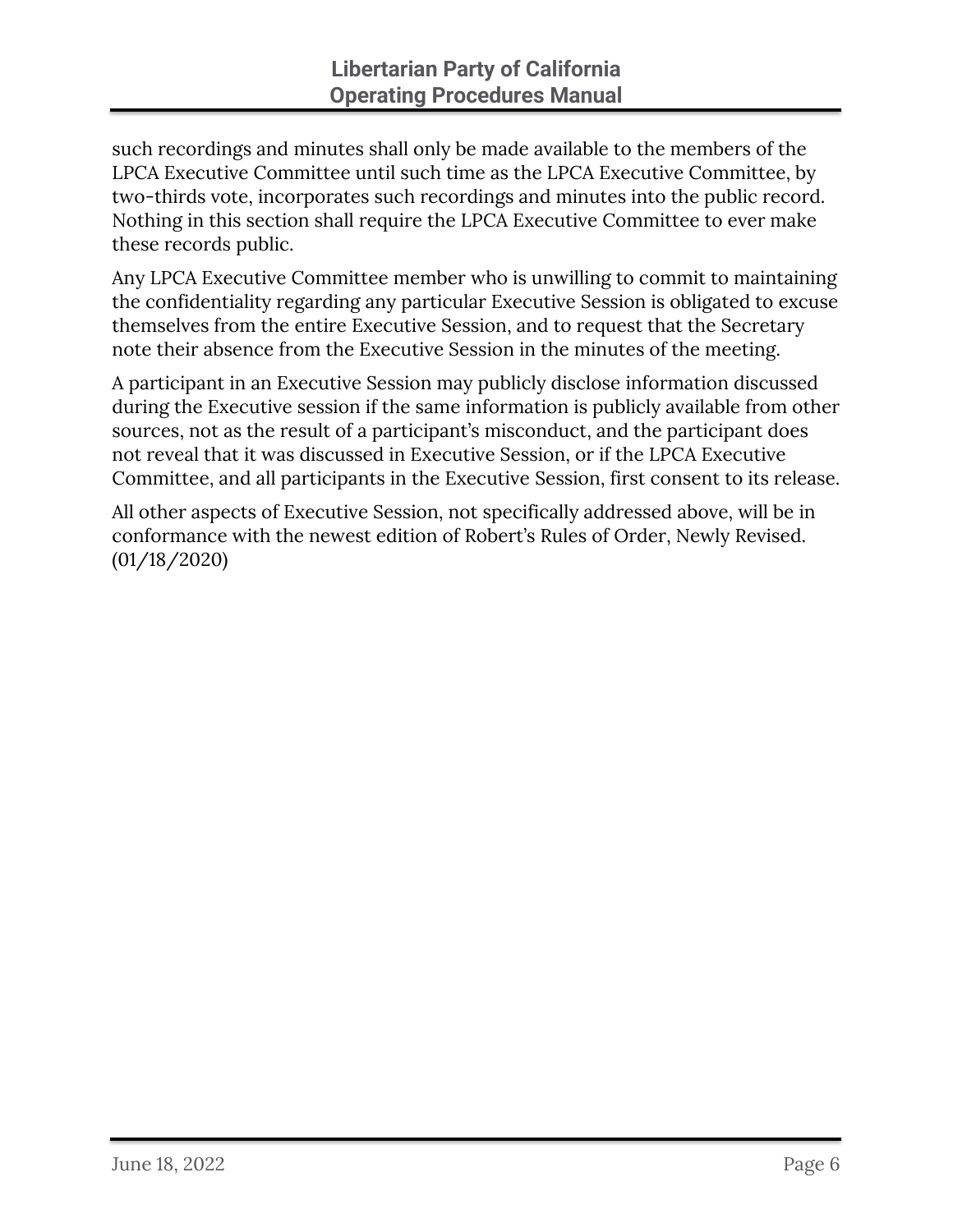such recordings and minutes shall only be made available to the members of the LPCA Executive Committee until such time as the LPCA Executive Committee, by two-thirds vote, incorporates such recordings and minutes into the public record. Nothing in this section shall require the LPCA Executive Committee to ever make these records public.

Any LPCA Executive Committee member who is unwilling to commit to maintaining the confidentiality regarding any particular Executive Session is obligated to excuse themselves from the entire Executive Session, and to request that the Secretary note their absence from the Executive Session in the minutes of the meeting.

A participant in an Executive Session may publicly disclose information discussed during the Executive session if the same information is publicly available from other sources, not as the result of a participant's misconduct, and the participant does not reveal that it was discussed in Executive Session, or if the LPCA Executive Committee, and all participants in the Executive Session, first consent to its release.

All other aspects of Executive Session, not specifically addressed above, will be in conformance with the newest edition of Robert's Rules of Order, Newly Revised. (01/18/2020)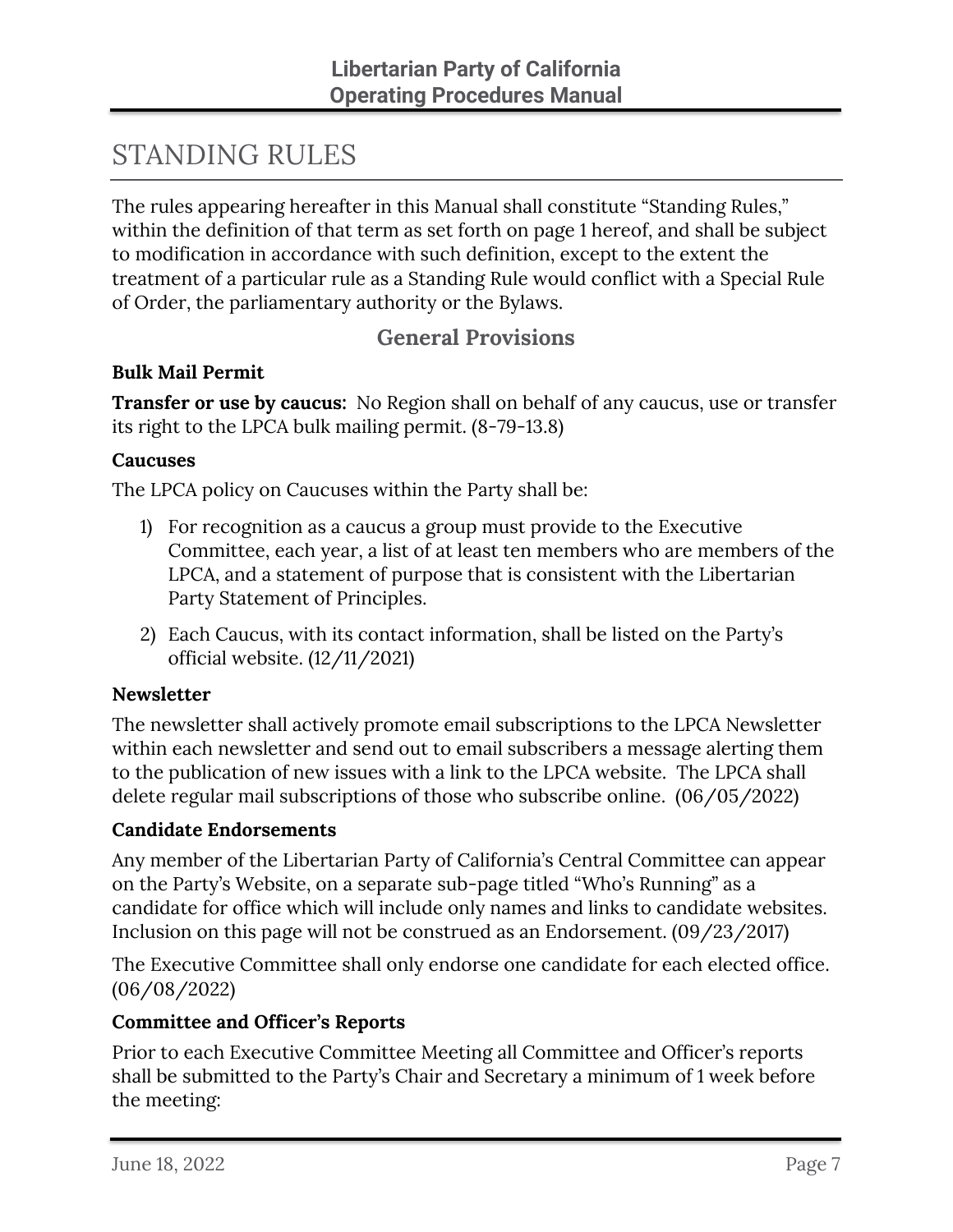# <span id="page-9-0"></span>STANDING RULES

The rules appearing hereafter in this Manual shall constitute "Standing Rules," within the definition of that term as set forth on page 1 hereof, and shall be subject to modification in accordance with such definition, except to the extent the treatment of a particular rule as a Standing Rule would conflict with a Special Rule of Order, the parliamentary authority or the Bylaws.

# **General Provisions**

#### <span id="page-9-2"></span><span id="page-9-1"></span>**Bulk Mail Permit**

<span id="page-9-3"></span>**Transfer or use by caucus:** No Region shall on behalf of any caucus, use or transfer its right to the LPCA bulk mailing permit. (8-79-13.8)

#### <span id="page-9-4"></span>**Caucuses**

The LPCA policy on Caucuses within the Party shall be:

- 1) For recognition as a caucus a group must provide to the Executive Committee, each year, a list of at least ten members who are members of the LPCA, and a statement of purpose that is consistent with the Libertarian Party Statement of Principles.
- 2) Each Caucus, with its contact information, shall be listed on the Party's official website. (12/11/2021)

#### <span id="page-9-5"></span>**Newsletter**

The newsletter shall actively promote email subscriptions to the LPCA Newsletter within each newsletter and send out to email subscribers a message alerting them to the publication of new issues with a link to the LPCA website. The LPCA shall delete regular mail subscriptions of those who subscribe online. (06/05/2022)

#### <span id="page-9-6"></span>**Candidate Endorsements**

Any member of the Libertarian Party of California's Central Committee can appear on the Party's Website, on a separate sub-page titled "Who's Running" as a candidate for office which will include only names and links to candidate websites. Inclusion on this page will not be construed as an Endorsement. (09/23/2017)

The Executive Committee shall only endorse one candidate for each elected office. (06/08/2022)

#### <span id="page-9-7"></span>**Committee and Officer's Reports**

Prior to each Executive Committee Meeting all Committee and Officer's reports shall be submitted to the Party's Chair and Secretary a minimum of 1 week before the meeting: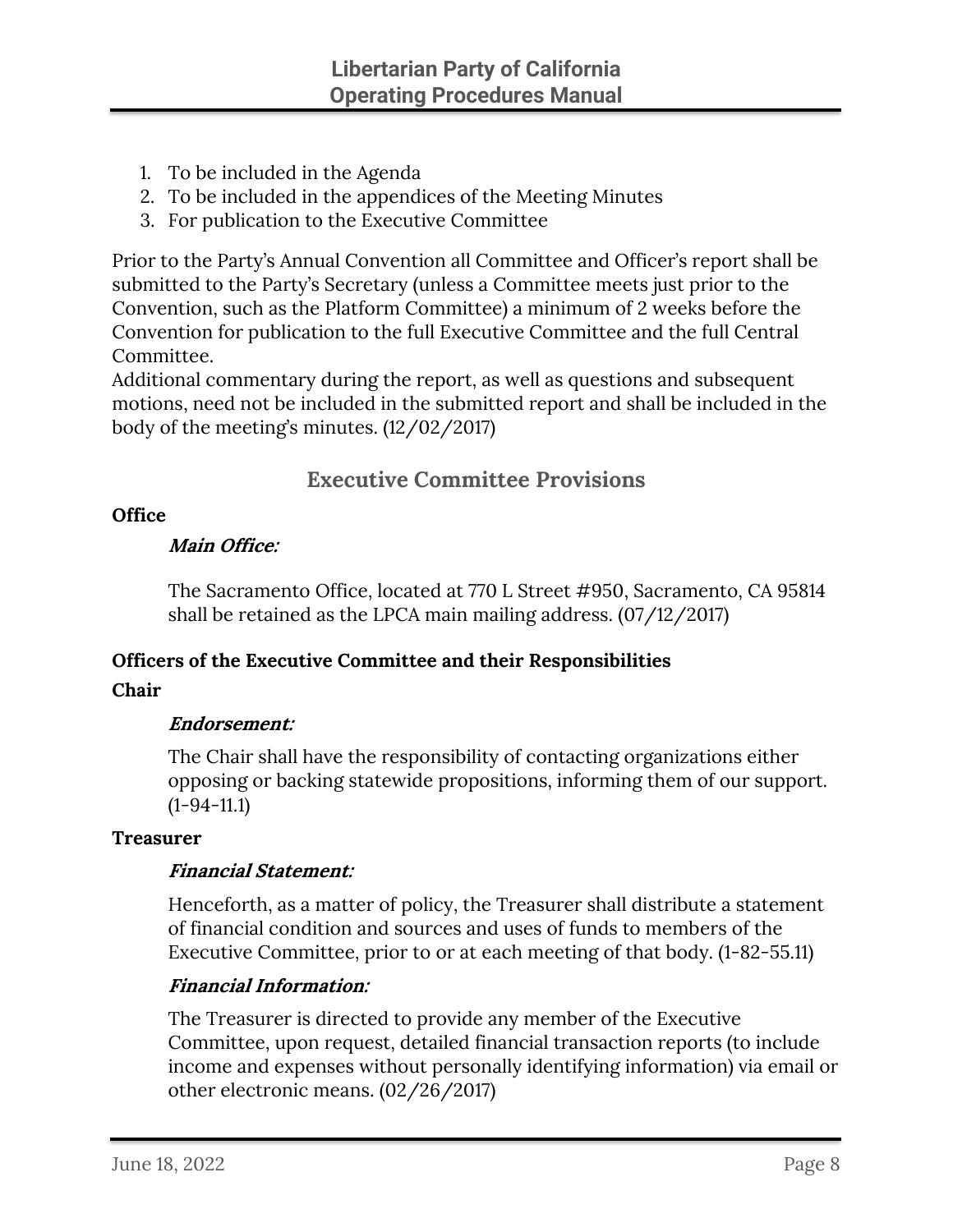- 1. To be included in the Agenda
- 2. To be included in the appendices of the Meeting Minutes
- 3. For publication to the Executive Committee

Prior to the Party's Annual Convention all Committee and Officer's report shall be submitted to the Party's Secretary (unless a Committee meets just prior to the Convention, such as the Platform Committee) a minimum of 2 weeks before the Convention for publication to the full Executive Committee and the full Central Committee.

Additional commentary during the report, as well as questions and subsequent motions, need not be included in the submitted report and shall be included in the body of the meeting's minutes. (12/02/2017)

# **Executive Committee Provisions**

#### <span id="page-10-2"></span><span id="page-10-1"></span><span id="page-10-0"></span>**Office**

#### **Main Office:**

The Sacramento Office, located at 770 L Street #950, Sacramento, CA 95814 shall be retained as the LPCA main mailing address. (07/12/2017)

#### <span id="page-10-3"></span>**Officers of the Executive Committee and their Responsibilities**

#### <span id="page-10-5"></span><span id="page-10-4"></span>**Chair**

#### **Endorsement:**

The Chair shall have the responsibility of contacting organizations either opposing or backing statewide propositions, informing them of our support.  $(1-94-11.1)$ 

#### <span id="page-10-7"></span><span id="page-10-6"></span>**Treasurer**

#### **Financial Statement:**

Henceforth, as a matter of policy, the Treasurer shall distribute a statement of financial condition and sources and uses of funds to members of the Executive Committee, prior to or at each meeting of that body. (1-82-55.11)

#### <span id="page-10-8"></span>**Financial Information:**

The Treasurer is directed to provide any member of the Executive Committee, upon request, detailed financial transaction reports (to include income and expenses without personally identifying information) via email or other electronic means. (02/26/2017)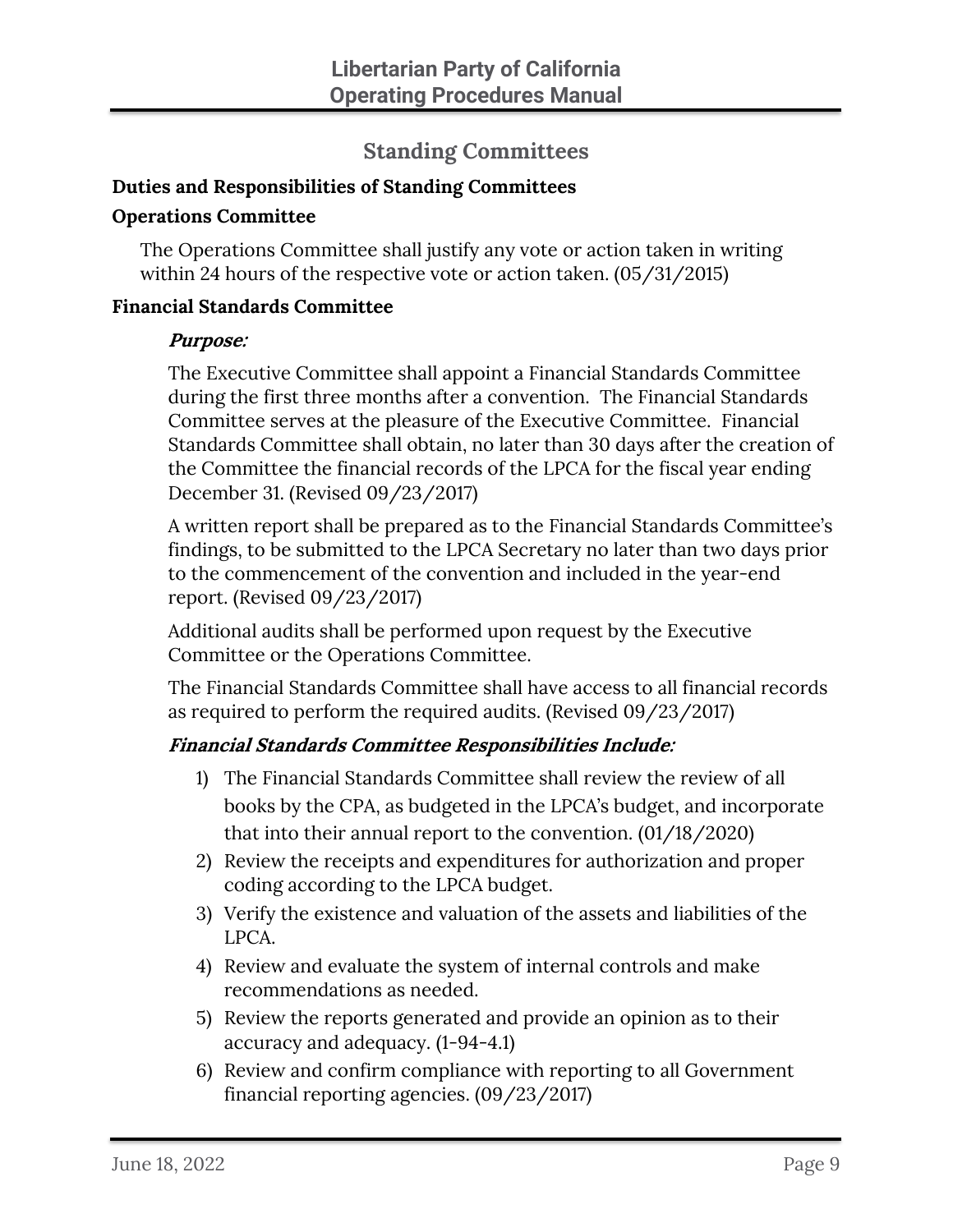# **Standing Committees**

# <span id="page-11-1"></span><span id="page-11-0"></span>**Duties and Responsibilities of Standing Committees**

#### <span id="page-11-2"></span>**Operations Committee**

The Operations Committee shall justify any vote or action taken in writing within 24 hours of the respective vote or action taken. (05/31/2015)

#### <span id="page-11-3"></span>**Financial Standards Committee**

#### **Purpose:**

The Executive Committee shall appoint a Financial Standards Committee during the first three months after a convention. The Financial Standards Committee serves at the pleasure of the Executive Committee. Financial Standards Committee shall obtain, no later than 30 days after the creation of the Committee the financial records of the LPCA for the fiscal year ending December 31. (Revised 09/23/2017)

A written report shall be prepared as to the Financial Standards Committee's findings, to be submitted to the LPCA Secretary no later than two days prior to the commencement of the convention and included in the year-end report. (Revised 09/23/2017)

Additional audits shall be performed upon request by the Executive Committee or the Operations Committee.

The Financial Standards Committee shall have access to all financial records as required to perform the required audits. (Revised 09/23/2017)

#### **Financial Standards Committee Responsibilities Include:**

- 1) The Financial Standards Committee shall review the review of all books by the CPA, as budgeted in the LPCA's budget, and incorporate that into their annual report to the convention. (01/18/2020)
- 2) Review the receipts and expenditures for authorization and proper coding according to the LPCA budget.
- 3) Verify the existence and valuation of the assets and liabilities of the LPCA.
- 4) Review and evaluate the system of internal controls and make recommendations as needed.
- 5) Review the reports generated and provide an opinion as to their accuracy and adequacy. (1-94-4.1)
- 6) Review and confirm compliance with reporting to all Government financial reporting agencies. (09/23/2017)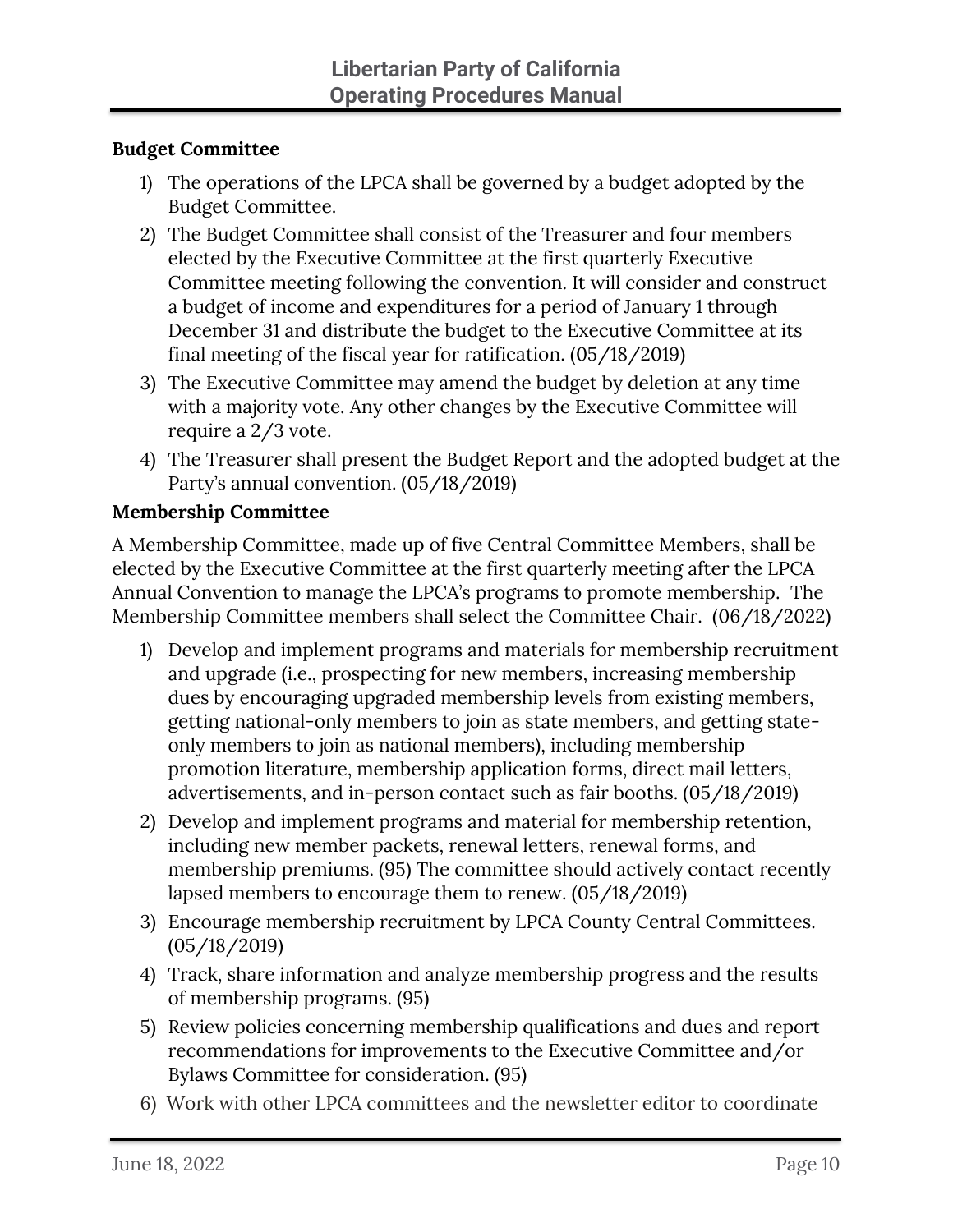#### <span id="page-12-0"></span>**Budget Committee**

- 1) The operations of the LPCA shall be governed by a budget adopted by the Budget Committee.
- 2) The Budget Committee shall consist of the Treasurer and four members elected by the Executive Committee at the first quarterly Executive Committee meeting following the convention. It will consider and construct a budget of income and expenditures for a period of January 1 through December 31 and distribute the budget to the Executive Committee at its final meeting of the fiscal year for ratification. (05/18/2019)
- 3) The Executive Committee may amend the budget by deletion at any time with a majority vote. Any other changes by the Executive Committee will require a 2/3 vote.
- 4) The Treasurer shall present the Budget Report and the adopted budget at the Party's annual convention. (05/18/2019)

#### <span id="page-12-1"></span>**Membership Committee**

A Membership Committee, made up of five Central Committee Members, shall be elected by the Executive Committee at the first quarterly meeting after the LPCA Annual Convention to manage the LPCA's programs to promote membership. The Membership Committee members shall select the Committee Chair. (06/18/2022)

- 1) Develop and implement programs and materials for membership recruitment and upgrade (i.e., prospecting for new members, increasing membership dues by encouraging upgraded membership levels from existing members, getting national-only members to join as state members, and getting stateonly members to join as national members), including membership promotion literature, membership application forms, direct mail letters, advertisements, and in-person contact such as fair booths. (05/18/2019)
- 2) Develop and implement programs and material for membership retention, including new member packets, renewal letters, renewal forms, and membership premiums. (95) The committee should actively contact recently lapsed members to encourage them to renew. (05/18/2019)
- 3) Encourage membership recruitment by LPCA County Central Committees. (05/18/2019)
- 4) Track, share information and analyze membership progress and the results of membership programs. (95)
- 5) Review policies concerning membership qualifications and dues and report recommendations for improvements to the Executive Committee and/or Bylaws Committee for consideration. (95)
- 6) Work with other LPCA committees and the newsletter editor to coordinate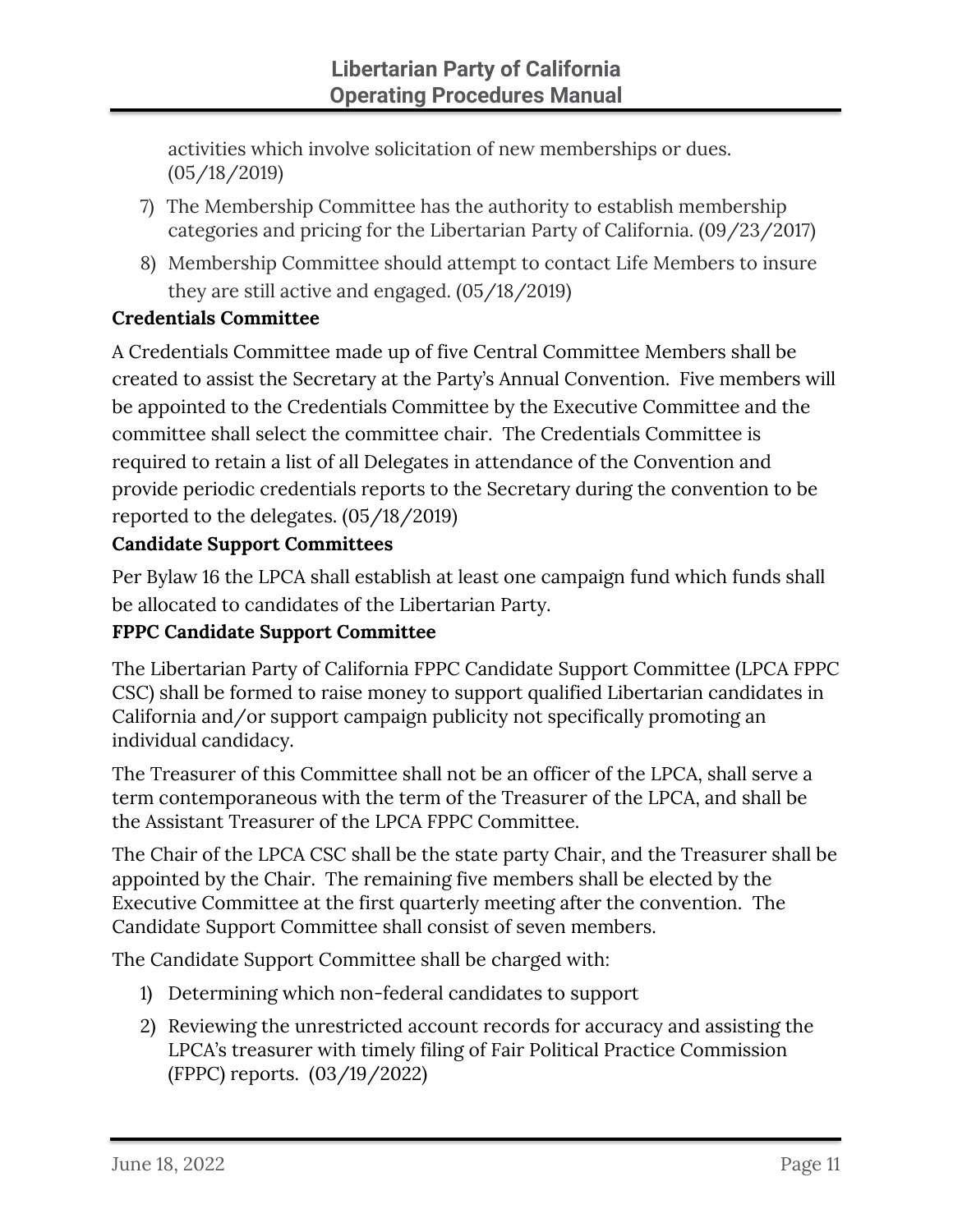activities which involve solicitation of new memberships or dues. (05/18/2019)

- 7) The Membership Committee has the authority to establish membership categories and pricing for the Libertarian Party of California. (09/23/2017)
- 8) Membership Committee should attempt to contact Life Members to insure they are still active and engaged. (05/18/2019)

# <span id="page-13-0"></span>**Credentials Committee**

A Credentials Committee made up of five Central Committee Members shall be created to assist the Secretary at the Party's Annual Convention. Five members will be appointed to the Credentials Committee by the Executive Committee and the committee shall select the committee chair. The Credentials Committee is required to retain a list of all Delegates in attendance of the Convention and provide periodic credentials reports to the Secretary during the convention to be reported to the delegates. (05/18/2019)

## <span id="page-13-1"></span>**Candidate Support Committees**

Per Bylaw 16 the LPCA shall establish at least one campaign fund which funds shall be allocated to candidates of the Libertarian Party.

# **FPPC Candidate Support Committee**

The Libertarian Party of California FPPC Candidate Support Committee (LPCA FPPC CSC) shall be formed to raise money to support qualified Libertarian candidates in California and/or support campaign publicity not specifically promoting an individual candidacy.

The Treasurer of this Committee shall not be an officer of the LPCA, shall serve a term contemporaneous with the term of the Treasurer of the LPCA, and shall be the Assistant Treasurer of the LPCA FPPC Committee.

The Chair of the LPCA CSC shall be the state party Chair, and the Treasurer shall be appointed by the Chair. The remaining five members shall be elected by the Executive Committee at the first quarterly meeting after the convention. The Candidate Support Committee shall consist of seven members.

The Candidate Support Committee shall be charged with:

- 1) Determining which non-federal candidates to support
- 2) Reviewing the unrestricted account records for accuracy and assisting the LPCA's treasurer with timely filing of Fair Political Practice Commission (FPPC) reports. (03/19/2022)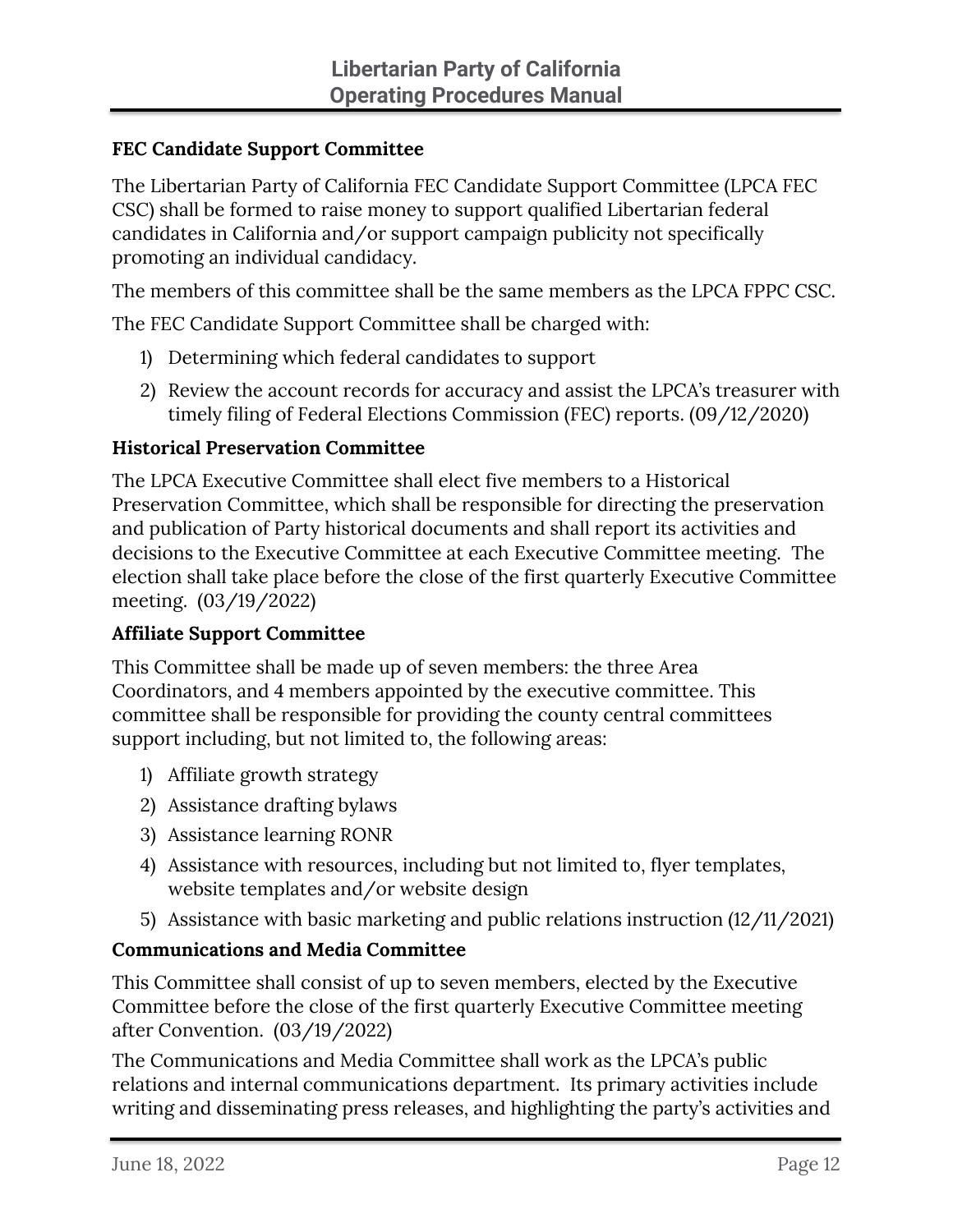#### **FEC Candidate Support Committee**

The Libertarian Party of California FEC Candidate Support Committee (LPCA FEC CSC) shall be formed to raise money to support qualified Libertarian federal candidates in California and/or support campaign publicity not specifically promoting an individual candidacy.

The members of this committee shall be the same members as the LPCA FPPC CSC.

The FEC Candidate Support Committee shall be charged with:

- 1) Determining which federal candidates to support
- 2) Review the account records for accuracy and assist the LPCA's treasurer with timely filing of Federal Elections Commission (FEC) reports. (09/12/2020)

#### <span id="page-14-0"></span>**Historical Preservation Committee**

The LPCA Executive Committee shall elect five members to a Historical Preservation Committee, which shall be responsible for directing the preservation and publication of Party historical documents and shall report its activities and decisions to the Executive Committee at each Executive Committee meeting. The election shall take place before the close of the first quarterly Executive Committee meeting. (03/19/2022)

#### <span id="page-14-1"></span>**Affiliate Support Committee**

This Committee shall be made up of seven members: the three Area Coordinators, and 4 members appointed by the executive committee. This committee shall be responsible for providing the county central committees support including, but not limited to, the following areas:

- 1) Affiliate growth strategy
- 2) Assistance drafting bylaws
- 3) Assistance learning RONR
- 4) Assistance with resources, including but not limited to, flyer templates, website templates and/or website design
- 5) Assistance with basic marketing and public relations instruction (12/11/2021)

#### <span id="page-14-2"></span>**Communications and Media Committee**

This Committee shall consist of up to seven members, elected by the Executive Committee before the close of the first quarterly Executive Committee meeting after Convention. (03/19/2022)

The Communications and Media Committee shall work as the LPCA's public relations and internal communications department. Its primary activities include writing and disseminating press releases, and highlighting the party's activities and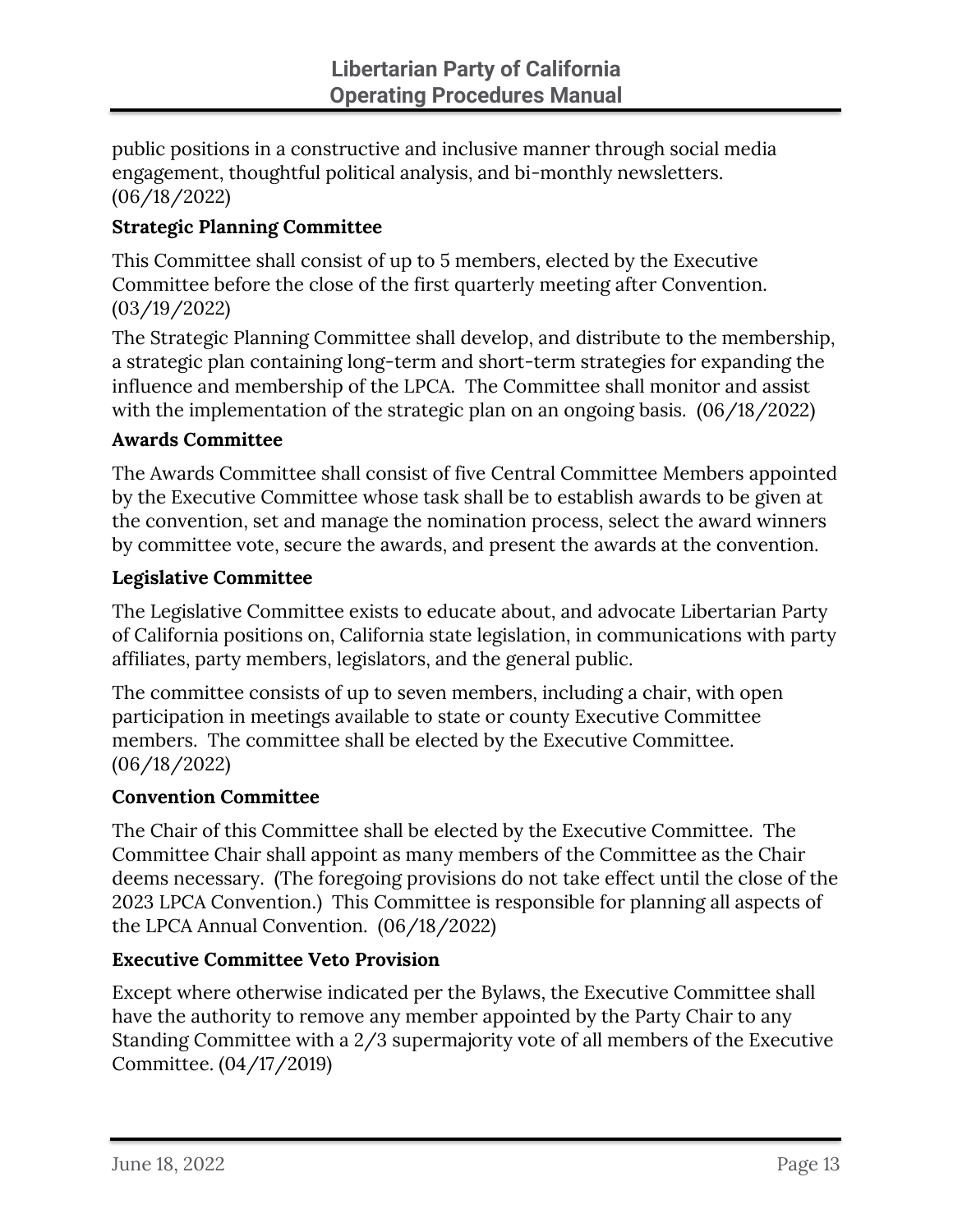public positions in a constructive and inclusive manner through social media engagement, thoughtful political analysis, and bi-monthly newsletters. (06/18/2022)

#### <span id="page-15-0"></span>**Strategic Planning Committee**

This Committee shall consist of up to 5 members, elected by the Executive Committee before the close of the first quarterly meeting after Convention. (03/19/2022)

The Strategic Planning Committee shall develop, and distribute to the membership, a strategic plan containing long-term and short-term strategies for expanding the influence and membership of the LPCA. The Committee shall monitor and assist with the implementation of the strategic plan on an ongoing basis. (06/18/2022)

#### <span id="page-15-1"></span>**Awards Committee**

The Awards Committee shall consist of five Central Committee Members appointed by the Executive Committee whose task shall be to establish awards to be given at the convention, set and manage the nomination process, select the award winners by committee vote, secure the awards, and present the awards at the convention.

#### <span id="page-15-2"></span>**Legislative Committee**

The Legislative Committee exists to educate about, and advocate Libertarian Party of California positions on, California state legislation, in communications with party affiliates, party members, legislators, and the general public.

The committee consists of up to seven members, including a chair, with open participation in meetings available to state or county Executive Committee members. The committee shall be elected by the Executive Committee. (06/18/2022)

#### <span id="page-15-3"></span>**Convention Committee**

The Chair of this Committee shall be elected by the Executive Committee. The Committee Chair shall appoint as many members of the Committee as the Chair deems necessary. (The foregoing provisions do not take effect until the close of the 2023 LPCA Convention.) This Committee is responsible for planning all aspects of the LPCA Annual Convention. (06/18/2022)

#### <span id="page-15-4"></span>**Executive Committee Veto Provision**

Except where otherwise indicated per the Bylaws, the Executive Committee shall have the authority to remove any member appointed by the Party Chair to any Standing Committee with a 2/3 supermajority vote of all members of the Executive Committee. (04/17/2019)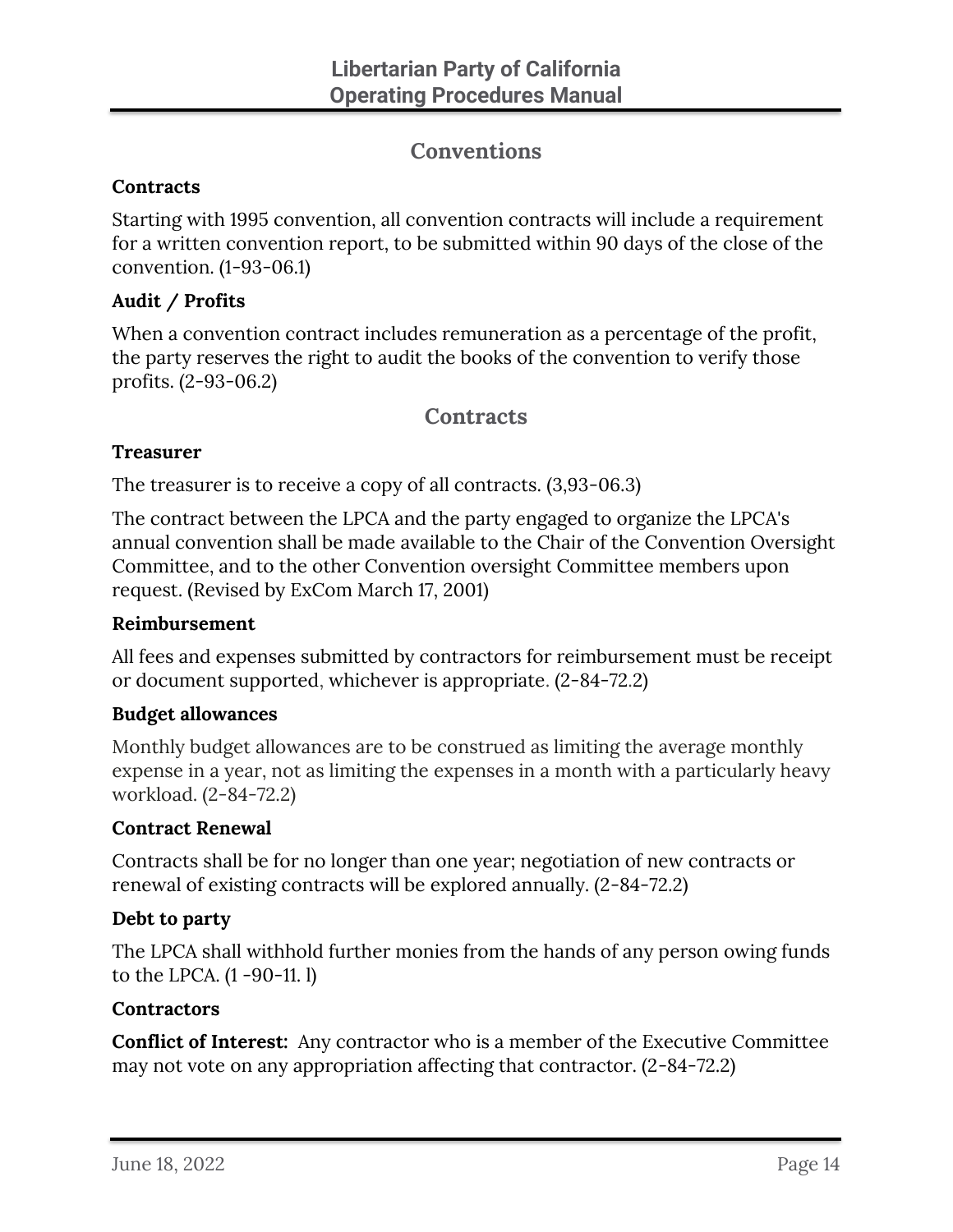# **Conventions**

#### <span id="page-16-1"></span><span id="page-16-0"></span>**Contracts**

Starting with 1995 convention, all convention contracts will include a requirement for a written convention report, to be submitted within 90 days of the close of the convention. (1-93-06.1)

#### <span id="page-16-2"></span>**Audit / Profits**

When a convention contract includes remuneration as a percentage of the profit, the party reserves the right to audit the books of the convention to verify those profits. (2-93-06.2)

## **Contracts**

#### <span id="page-16-4"></span><span id="page-16-3"></span>**Treasurer**

The treasurer is to receive a copy of all contracts. (3,93-06.3)

The contract between the LPCA and the party engaged to organize the LPCA's annual convention shall be made available to the Chair of the Convention Oversight Committee, and to the other Convention oversight Committee members upon request. (Revised by ExCom March 17, 2001)

#### <span id="page-16-5"></span>**Reimbursement**

All fees and expenses submitted by contractors for reimbursement must be receipt or document supported, whichever is appropriate. (2-84-72.2)

#### <span id="page-16-6"></span>**Budget allowances**

Monthly budget allowances are to be construed as limiting the average monthly expense in a year, not as limiting the expenses in a month with a particularly heavy workload. (2-84-72.2)

#### <span id="page-16-7"></span>**Contract Renewal**

Contracts shall be for no longer than one year; negotiation of new contracts or renewal of existing contracts will be explored annually. (2-84-72.2)

#### <span id="page-16-8"></span>**Debt to party**

The LPCA shall withhold further monies from the hands of any person owing funds to the LPCA. (1 -90-11. l)

#### <span id="page-16-9"></span>**Contractors**

**Conflict of Interest:** Any contractor who is a member of the Executive Committee may not vote on any appropriation affecting that contractor. (2-84-72.2)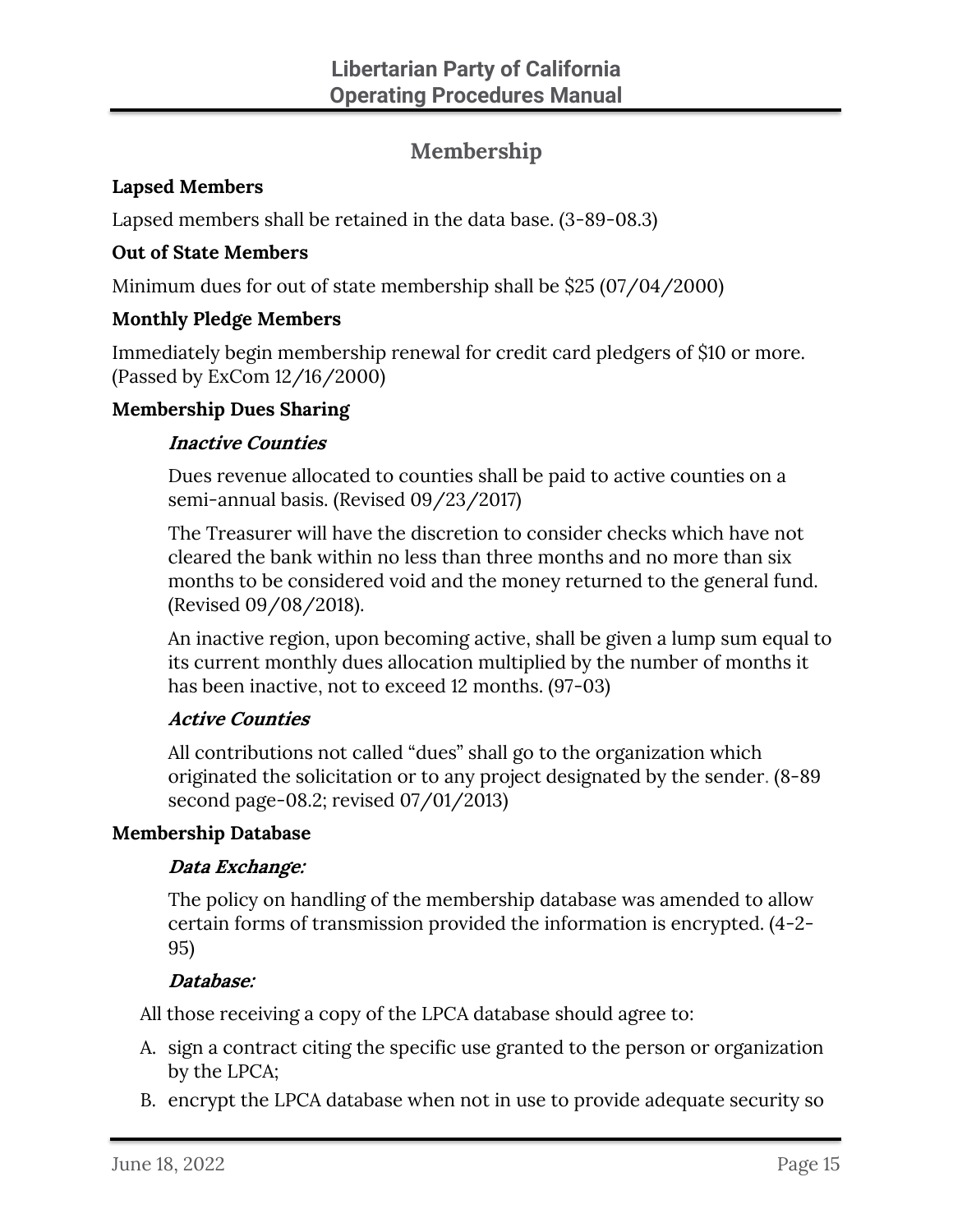# **Membership**

#### <span id="page-17-1"></span><span id="page-17-0"></span>**Lapsed Members**

Lapsed members shall be retained in the data base. (3-89-08.3)

#### <span id="page-17-2"></span>**Out of State Members**

Minimum dues for out of state membership shall be \$25 (07/04/2000)

#### <span id="page-17-3"></span>**Monthly Pledge Members**

Immediately begin membership renewal for credit card pledgers of \$10 or more. (Passed by ExCom 12/16/2000)

#### <span id="page-17-5"></span><span id="page-17-4"></span>**Membership Dues Sharing**

#### **Inactive Counties**

Dues revenue allocated to counties shall be paid to active counties on a semi-annual basis. (Revised 09/23/2017)

The Treasurer will have the discretion to consider checks which have not cleared the bank within no less than three months and no more than six months to be considered void and the money returned to the general fund. (Revised 09/08/2018).

An inactive region, upon becoming active, shall be given a lump sum equal to its current monthly dues allocation multiplied by the number of months it has been inactive, not to exceed 12 months. (97-03)

#### <span id="page-17-6"></span>**Active Counties**

All contributions not called "dues" shall go to the organization which originated the solicitation or to any project designated by the sender. (8-89 second page-08.2; revised 07/01/2013)

#### <span id="page-17-8"></span><span id="page-17-7"></span>**Membership Database**

#### **Data Exchange:**

The policy on handling of the membership database was amended to allow certain forms of transmission provided the information is encrypted. (4-2- 95)

#### **Database:**

<span id="page-17-9"></span>All those receiving a copy of the LPCA database should agree to:

- A. sign a contract citing the specific use granted to the person or organization by the LPCA;
- B. encrypt the LPCA database when not in use to provide adequate security so